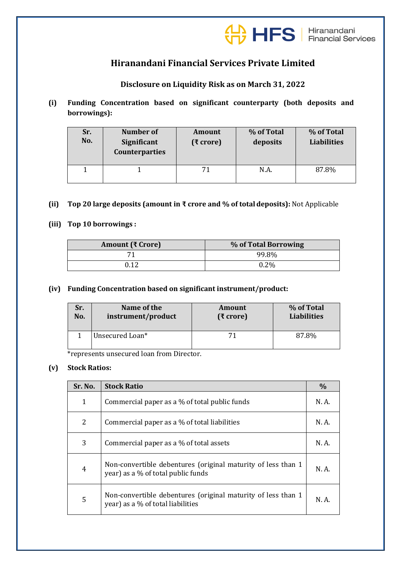

# **Hiranandani Financial Services Private Limited**

## **Disclosure on Liquidity Risk as on March 31, 2022**

**(i) Funding Concentration based on significant counterparty (both deposits and borrowings):**

| Sr.<br>No. | <b>Number of</b><br>Significant<br><b>Counterparties</b> | <b>Amount</b><br>(₹ crore) | % of Total<br>deposits | % of Total<br><b>Liabilities</b> |
|------------|----------------------------------------------------------|----------------------------|------------------------|----------------------------------|
|            |                                                          | 71                         | N.A.                   | 87.8%                            |

#### **(ii) Top 20 large deposits (amount in ₹ crore and % of totaldeposits):** Not Applicable

#### **(iii) Top 10 borrowings :**

| Amount (₹ Crore) | % of Total Borrowing |
|------------------|----------------------|
|                  | 99.8%                |
|                  | 0.2%                 |

#### **(iv) Funding Concentration based on significant instrument/product:**

| Sr. | Name of the        | Amount       | % of Total         |
|-----|--------------------|--------------|--------------------|
| No. | instrument/product | $(3)$ crore) | <b>Liabilities</b> |
|     | Unsecured Loan*    | 71           | 87.8%              |

\*represents unsecured loan from Director.

### **(v) Stock Ratios:**

| Sr. No. | <b>Stock Ratio</b>                                                                                 |       |
|---------|----------------------------------------------------------------------------------------------------|-------|
| 1       | Commercial paper as a % of total public funds                                                      |       |
| 2       | Commercial paper as a % of total liabilities                                                       | N.A.  |
| 3       | Commercial paper as a % of total assets                                                            | N. A. |
| 4       | Non-convertible debentures (original maturity of less than 1<br>year) as a % of total public funds | N. A. |
| 5       | Non-convertible debentures (original maturity of less than 1<br>year) as a % of total liabilities  | N.A.  |